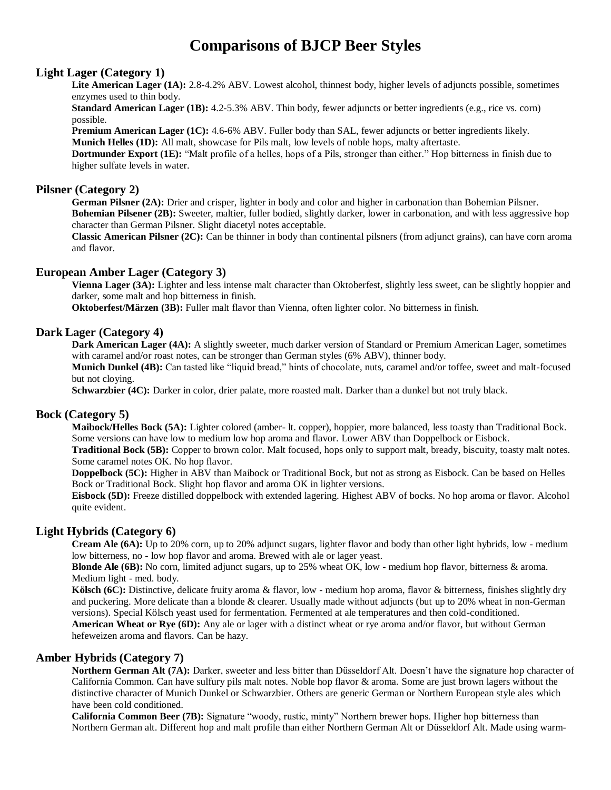# **Comparisons of BJCP Beer Styles**

#### **Light Lager (Category 1)**

Lite American Lager (1A): 2.8-4.2% ABV. Lowest alcohol, thinnest body, higher levels of adjuncts possible, sometimes enzymes used to thin body.

**Standard American Lager (1B):** 4.2-5.3% ABV. Thin body, fewer adjuncts or better ingredients (e.g., rice vs. corn) possible.

**Premium American Lager (1C):** 4.6-6% ABV. Fuller body than SAL, fewer adjuncts or better ingredients likely. **Munich Helles (1D):** All malt, showcase for Pils malt, low levels of noble hops, malty aftertaste.

**Dortmunder Export (1E):** "Malt profile of a helles, hops of a Pils, stronger than either." Hop bitterness in finish due to higher sulfate levels in water.

#### **Pilsner (Category 2)**

**German Pilsner (2A):** Drier and crisper, lighter in body and color and higher in carbonation than Bohemian Pilsner. **Bohemian Pilsener (2B):** Sweeter, maltier, fuller bodied, slightly darker, lower in carbonation, and with less aggressive hop character than German Pilsner. Slight diacetyl notes acceptable.

**Classic American Pilsner (2C):** Can be thinner in body than continental pilsners (from adjunct grains), can have corn aroma and flavor.

# **European Amber Lager (Category 3)**

**Vienna Lager (3A):** Lighter and less intense malt character than Oktoberfest, slightly less sweet, can be slightly hoppier and darker, some malt and hop bitterness in finish.

**Oktoberfest/Märzen (3B):** Fuller malt flavor than Vienna, often lighter color. No bitterness in finish.

#### **Dark Lager (Category 4)**

**Dark American Lager (4A):** A slightly sweeter, much darker version of Standard or Premium American Lager, sometimes with caramel and/or roast notes, can be stronger than German styles (6% ABV), thinner body.

**Munich Dunkel (4B):** Can tasted like "liquid bread," hints of chocolate, nuts, caramel and/or toffee, sweet and malt-focused but not cloying.

**Schwarzbier (4C):** Darker in color, drier palate, more roasted malt. Darker than a dunkel but not truly black.

#### **Bock (Category 5)**

**Maibock/Helles Bock (5A):** Lighter colored (amber- lt. copper), hoppier, more balanced, less toasty than Traditional Bock. Some versions can have low to medium low hop aroma and flavor. Lower ABV than Doppelbock or Eisbock.

**Traditional Bock (5B):** Copper to brown color. Malt focused, hops only to support malt, bready, biscuity, toasty malt notes. Some caramel notes OK. No hop flavor.

**Doppelbock (5C):** Higher in ABV than Maibock or Traditional Bock, but not as strong as Eisbock. Can be based on Helles Bock or Traditional Bock. Slight hop flavor and aroma OK in lighter versions.

**Eisbock (5D):** Freeze distilled doppelbock with extended lagering. Highest ABV of bocks. No hop aroma or flavor. Alcohol quite evident.

## **Light Hybrids (Category 6)**

**Cream Ale (6A):** Up to 20% corn, up to 20% adjunct sugars, lighter flavor and body than other light hybrids, low - medium low bitterness, no - low hop flavor and aroma. Brewed with ale or lager yeast.

**Blonde Ale (6B):** No corn, limited adjunct sugars, up to 25% wheat OK, low - medium hop flavor, bitterness & aroma. Medium light - med. body.

**Kölsch (6C):** Distinctive, delicate fruity aroma & flavor, low - medium hop aroma, flavor & bitterness, finishes slightly dry and puckering. More delicate than a blonde & clearer. Usually made without adjuncts (but up to 20% wheat in non-German versions). Special Kölsch yeast used for fermentation. Fermented at ale temperatures and then cold-conditioned.

**American Wheat or Rye (6D):** Any ale or lager with a distinct wheat or rye aroma and/or flavor, but without German hefeweizen aroma and flavors. Can be hazy.

# **Amber Hybrids (Category 7)**

**Northern German Alt (7A):** Darker, sweeter and less bitter than Düsseldorf Alt. Doesn't have the signature hop character of California Common. Can have sulfury pils malt notes. Noble hop flavor & aroma. Some are just brown lagers without the distinctive character of Munich Dunkel or Schwarzbier. Others are generic German or Northern European style ales which have been cold conditioned.

**California Common Beer (7B):** Signature "woody, rustic, minty" Northern brewer hops. Higher hop bitterness than Northern German alt. Different hop and malt profile than either Northern German Alt or Düsseldorf Alt. Made using warm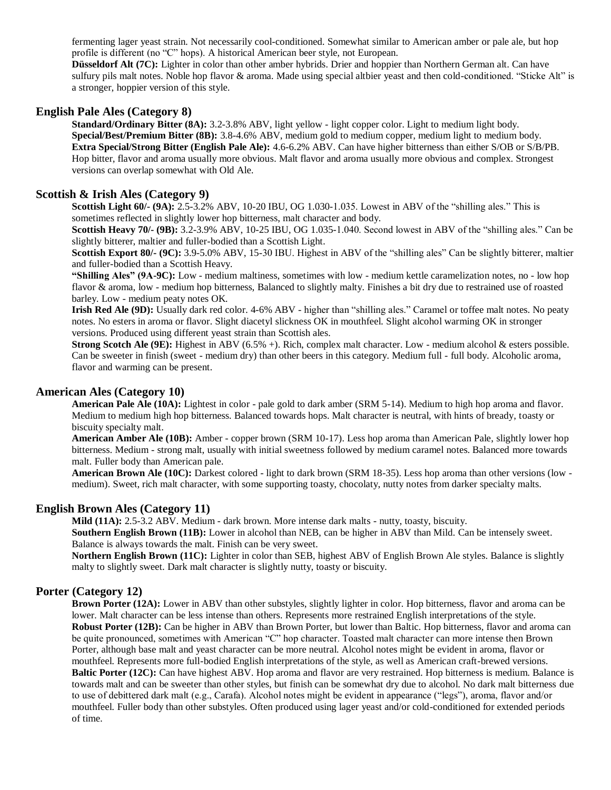fermenting lager yeast strain. Not necessarily cool-conditioned. Somewhat similar to American amber or pale ale, but hop profile is different (no "C" hops). A historical American beer style, not European.

**Düsseldorf Alt (7C):** Lighter in color than other amber hybrids. Drier and hoppier than Northern German alt. Can have sulfury pils malt notes. Noble hop flavor & aroma. Made using special altbier yeast and then cold-conditioned. "Sticke Alt" is a stronger, hoppier version of this style.

#### **English Pale Ales (Category 8)**

**Standard/Ordinary Bitter (8A):** 3.2-3.8% ABV, light yellow - light copper color. Light to medium light body. **Special/Best/Premium Bitter (8B):** 3.8-4.6% ABV, medium gold to medium copper, medium light to medium body. **Extra Special/Strong Bitter (English Pale Ale):** 4.6-6.2% ABV. Can have higher bitterness than either S/OB or S/B/PB. Hop bitter, flavor and aroma usually more obvious. Malt flavor and aroma usually more obvious and complex. Strongest versions can overlap somewhat with Old Ale.

# **Scottish & Irish Ales (Category 9)**

**Scottish Light 60/- (9A):** 2.5-3.2% ABV, 10-20 IBU, OG 1.030-1.035. Lowest in ABV of the "shilling ales." This is sometimes reflected in slightly lower hop bitterness, malt character and body.

**Scottish Heavy 70/- (9B):** 3.2-3.9% ABV, 10-25 IBU, OG 1.035-1.040. Second lowest in ABV of the "shilling ales." Can be slightly bitterer, maltier and fuller-bodied than a Scottish Light.

**Scottish Export 80/- (9C):** 3.9-5.0% ABV, 15-30 IBU. Highest in ABV of the "shilling ales" Can be slightly bitterer, maltier and fuller-bodied than a Scottish Heavy.

**"Shilling Ales" (9A-9C):** Low - medium maltiness, sometimes with low - medium kettle caramelization notes, no - low hop flavor & aroma, low - medium hop bitterness, Balanced to slightly malty. Finishes a bit dry due to restrained use of roasted barley. Low - medium peaty notes OK.

**Irish Red Ale (9D):** Usually dark red color. 4-6% ABV - higher than "shilling ales." Caramel or toffee malt notes. No peaty notes. No esters in aroma or flavor. Slight diacetyl slickness OK in mouthfeel. Slight alcohol warming OK in stronger versions. Produced using different yeast strain than Scottish ales.

**Strong Scotch Ale (9E):** Highest in ABV (6.5% +). Rich, complex malt character. Low - medium alcohol & esters possible. Can be sweeter in finish (sweet - medium dry) than other beers in this category. Medium full - full body. Alcoholic aroma, flavor and warming can be present.

#### **American Ales (Category 10)**

**American Pale Ale (10A):** Lightest in color - pale gold to dark amber (SRM 5-14). Medium to high hop aroma and flavor. Medium to medium high hop bitterness. Balanced towards hops. Malt character is neutral, with hints of bready, toasty or biscuity specialty malt.

**American Amber Ale (10B):** Amber - copper brown (SRM 10-17). Less hop aroma than American Pale, slightly lower hop bitterness. Medium - strong malt, usually with initial sweetness followed by medium caramel notes. Balanced more towards malt. Fuller body than American pale.

**American Brown Ale (10C):** Darkest colored - light to dark brown (SRM 18-35). Less hop aroma than other versions (low medium). Sweet, rich malt character, with some supporting toasty, chocolaty, nutty notes from darker specialty malts.

#### **English Brown Ales (Category 11)**

**Mild (11A):** 2.5-3.2 ABV. Medium - dark brown. More intense dark malts - nutty, toasty, biscuity. **Southern English Brown (11B):** Lower in alcohol than NEB, can be higher in ABV than Mild. Can be intensely sweet. Balance is always towards the malt. Finish can be very sweet.

**Northern English Brown (11C):** Lighter in color than SEB, highest ABV of English Brown Ale styles. Balance is slightly malty to slightly sweet. Dark malt character is slightly nutty, toasty or biscuity.

# **Porter (Category 12)**

**Brown Porter (12A):** Lower in ABV than other substyles, slightly lighter in color. Hop bitterness, flavor and aroma can be lower. Malt character can be less intense than others. Represents more restrained English interpretations of the style. **Robust Porter (12B):** Can be higher in ABV than Brown Porter, but lower than Baltic. Hop bitterness, flavor and aroma can be quite pronounced, sometimes with American "C" hop character. Toasted malt character can more intense then Brown Porter, although base malt and yeast character can be more neutral. Alcohol notes might be evident in aroma, flavor or mouthfeel. Represents more full-bodied English interpretations of the style, as well as American craft-brewed versions. **Baltic Porter (12C):** Can have highest ABV. Hop aroma and flavor are very restrained. Hop bitterness is medium. Balance is towards malt and can be sweeter than other styles, but finish can be somewhat dry due to alcohol. No dark malt bitterness due to use of debittered dark malt (e.g., Carafa). Alcohol notes might be evident in appearance ("legs"), aroma, flavor and/or mouthfeel. Fuller body than other substyles. Often produced using lager yeast and/or cold-conditioned for extended periods of time.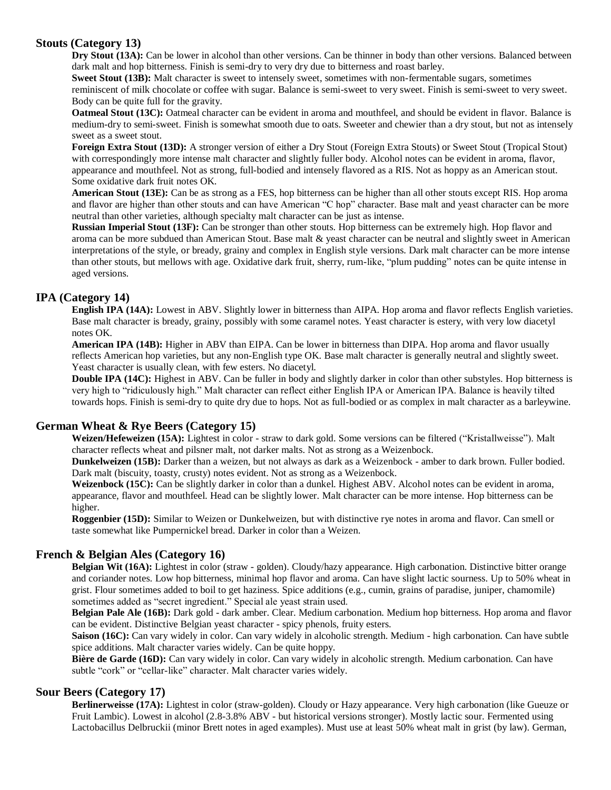# **Stouts (Category 13)**

**Dry Stout (13A):** Can be lower in alcohol than other versions. Can be thinner in body than other versions. Balanced between dark malt and hop bitterness. Finish is semi-dry to very dry due to bitterness and roast barley.

**Sweet Stout (13B):** Malt character is sweet to intensely sweet, sometimes with non-fermentable sugars, sometimes reminiscent of milk chocolate or coffee with sugar. Balance is semi-sweet to very sweet. Finish is semi-sweet to very sweet. Body can be quite full for the gravity.

**Oatmeal Stout (13C):** Oatmeal character can be evident in aroma and mouthfeel, and should be evident in flavor. Balance is medium-dry to semi-sweet. Finish is somewhat smooth due to oats. Sweeter and chewier than a dry stout, but not as intensely sweet as a sweet stout.

**Foreign Extra Stout (13D):** A stronger version of either a Dry Stout (Foreign Extra Stouts) or Sweet Stout (Tropical Stout) with correspondingly more intense malt character and slightly fuller body. Alcohol notes can be evident in aroma, flavor, appearance and mouthfeel. Not as strong, full-bodied and intensely flavored as a RIS. Not as hoppy as an American stout. Some oxidative dark fruit notes OK.

**American Stout (13E):** Can be as strong as a FES, hop bitterness can be higher than all other stouts except RIS. Hop aroma and flavor are higher than other stouts and can have American "C hop" character. Base malt and yeast character can be more neutral than other varieties, although specialty malt character can be just as intense.

**Russian Imperial Stout (13F):** Can be stronger than other stouts. Hop bitterness can be extremely high. Hop flavor and aroma can be more subdued than American Stout. Base malt & yeast character can be neutral and slightly sweet in American interpretations of the style, or bready, grainy and complex in English style versions. Dark malt character can be more intense than other stouts, but mellows with age. Oxidative dark fruit, sherry, rum-like, "plum pudding" notes can be quite intense in aged versions.

# **IPA (Category 14)**

**English IPA (14A):** Lowest in ABV. Slightly lower in bitterness than AIPA. Hop aroma and flavor reflects English varieties. Base malt character is bready, grainy, possibly with some caramel notes. Yeast character is estery, with very low diacetyl notes OK.

**American IPA (14B):** Higher in ABV than EIPA. Can be lower in bitterness than DIPA. Hop aroma and flavor usually reflects American hop varieties, but any non-English type OK. Base malt character is generally neutral and slightly sweet. Yeast character is usually clean, with few esters. No diacetyl.

**Double IPA (14C):** Highest in ABV. Can be fuller in body and slightly darker in color than other substyles. Hop bitterness is very high to "ridiculously high." Malt character can reflect either English IPA or American IPA. Balance is heavily tilted towards hops. Finish is semi-dry to quite dry due to hops. Not as full-bodied or as complex in malt character as a barleywine.

# **German Wheat & Rye Beers (Category 15)**

**Weizen/Hefeweizen (15A):** Lightest in color - straw to dark gold. Some versions can be filtered ("Kristallweisse"). Malt character reflects wheat and pilsner malt, not darker malts. Not as strong as a Weizenbock.

**Dunkelweizen (15B):** Darker than a weizen, but not always as dark as a Weizenbock - amber to dark brown. Fuller bodied. Dark malt (biscuity, toasty, crusty) notes evident. Not as strong as a Weizenbock.

Weizenbock (15C): Can be slightly darker in color than a dunkel. Highest ABV. Alcohol notes can be evident in aroma, appearance, flavor and mouthfeel. Head can be slightly lower. Malt character can be more intense. Hop bitterness can be higher.

**Roggenbier (15D):** Similar to Weizen or Dunkelweizen, but with distinctive rye notes in aroma and flavor. Can smell or taste somewhat like Pumpernickel bread. Darker in color than a Weizen.

# **French & Belgian Ales (Category 16)**

**Belgian Wit (16A):** Lightest in color (straw - golden). Cloudy/hazy appearance. High carbonation. Distinctive bitter orange and coriander notes. Low hop bitterness, minimal hop flavor and aroma. Can have slight lactic sourness. Up to 50% wheat in grist. Flour sometimes added to boil to get haziness. Spice additions (e.g., cumin, grains of paradise, juniper, chamomile) sometimes added as "secret ingredient." Special ale yeast strain used.

**Belgian Pale Ale (16B):** Dark gold - dark amber. Clear. Medium carbonation. Medium hop bitterness. Hop aroma and flavor can be evident. Distinctive Belgian yeast character - spicy phenols, fruity esters.

**Saison (16C):** Can vary widely in color. Can vary widely in alcoholic strength. Medium - high carbonation. Can have subtle spice additions. Malt character varies widely. Can be quite hoppy.

**Bière de Garde (16D):** Can vary widely in color. Can vary widely in alcoholic strength. Medium carbonation. Can have subtle "cork" or "cellar-like" character. Malt character varies widely.

# **Sour Beers (Category 17)**

**Berlinerweisse (17A):** Lightest in color (straw-golden). Cloudy or Hazy appearance. Very high carbonation (like Gueuze or Fruit Lambic). Lowest in alcohol (2.8-3.8% ABV - but historical versions stronger). Mostly lactic sour. Fermented using Lactobacillus Delbruckii (minor Brett notes in aged examples). Must use at least 50% wheat malt in grist (by law). German,